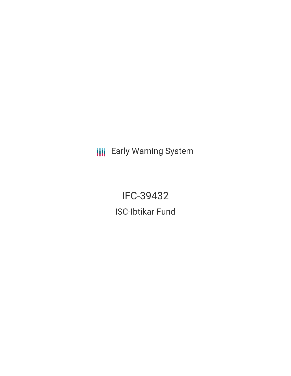**III** Early Warning System

IFC-39432 ISC-Ibtikar Fund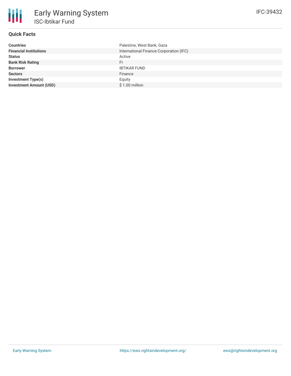# **Quick Facts**

| <b>Countries</b>               | Palestine, West Bank, Gaza              |
|--------------------------------|-----------------------------------------|
| <b>Financial Institutions</b>  | International Finance Corporation (IFC) |
| <b>Status</b>                  | Active                                  |
| <b>Bank Risk Rating</b>        | FI                                      |
| <b>Borrower</b>                | <b>IBTIKAR FUND</b>                     |
| <b>Sectors</b>                 | Finance                                 |
| <b>Investment Type(s)</b>      | Equity                                  |
| <b>Investment Amount (USD)</b> | \$1.00 million                          |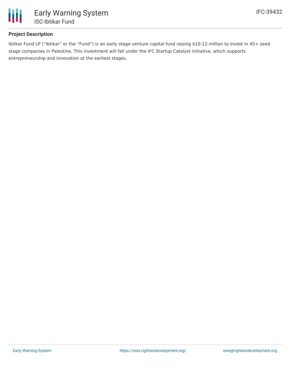

## **Project Description**

Ibtikar Fund LP ("Ibtikar" or the "Fund") is an early stage venture capital fund raising \$10-12 million to invest in 45+ seed stage companies in Palestine. This investment will fall under the IFC Startup Catalyst initiative, which supports entrepreneurship and innovation at the earliest stages.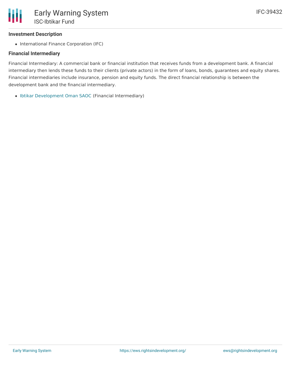### **Investment Description**

• International Finance Corporation (IFC)

### **Financial Intermediary**

Financial Intermediary: A commercial bank or financial institution that receives funds from a development bank. A financial intermediary then lends these funds to their clients (private actors) in the form of loans, bonds, guarantees and equity shares. Financial intermediaries include insurance, pension and equity funds. The direct financial relationship is between the development bank and the financial intermediary.

• Ibtikar [Development](file:///actor/809/) Oman SAOC (Financial Intermediary)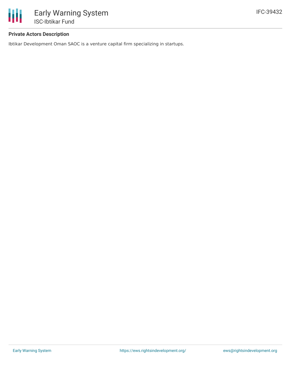

### **Private Actors Description**

Ibtikar Development Oman SAOC is a venture capital firm specializing in startups.